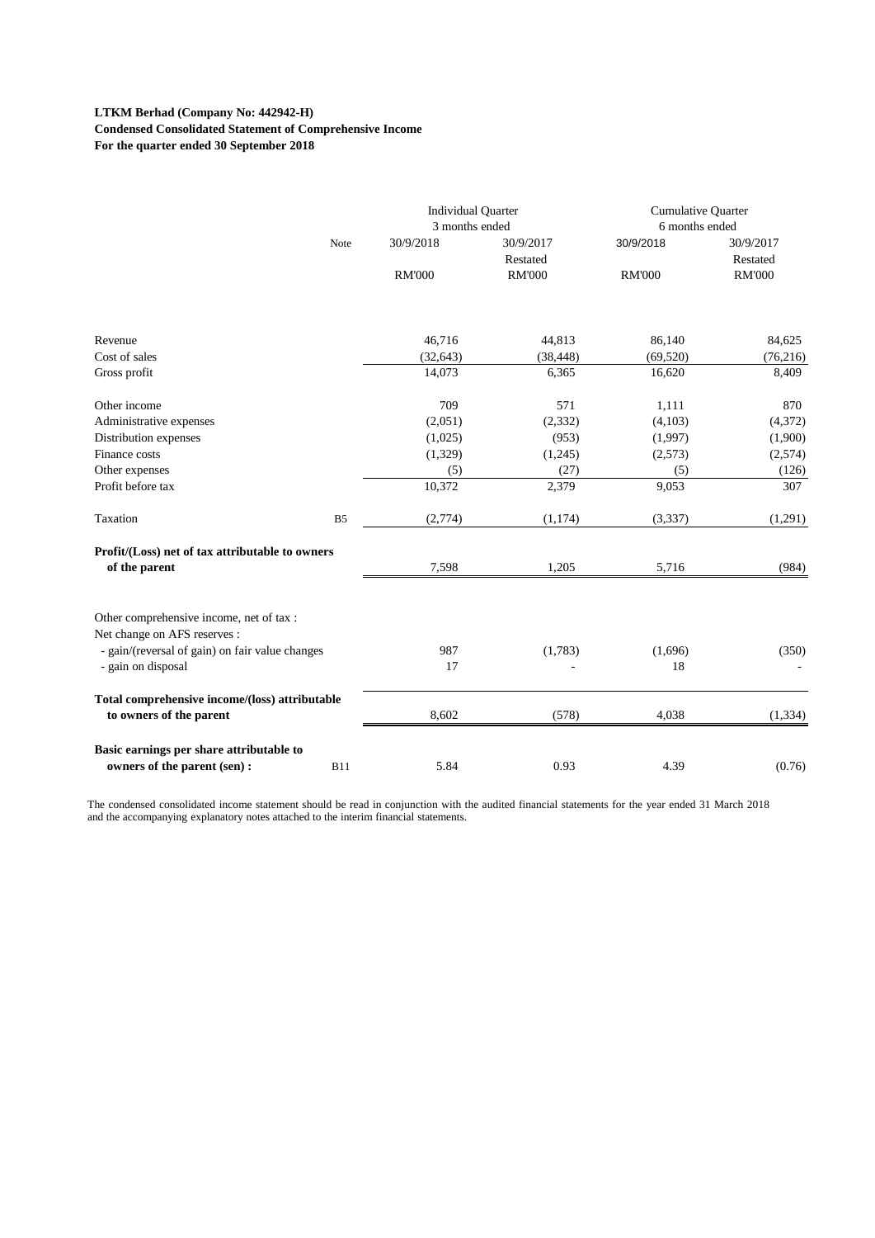#### **LTKM Berhad (Company No: 442942-H) Condensed Consolidated Statement of Comprehensive Income For the quarter ended 30 September 2018**

|                                                                                        | <b>Individual Quarter</b><br>3 months ended |                       | Cumulative Quarter<br>6 months ended |                       |
|----------------------------------------------------------------------------------------|---------------------------------------------|-----------------------|--------------------------------------|-----------------------|
| Note                                                                                   | 30/9/2018                                   | 30/9/2017<br>Restated | 30/9/2018                            | 30/9/2017<br>Restated |
|                                                                                        | <b>RM'000</b>                               | <b>RM'000</b>         | <b>RM'000</b>                        | <b>RM'000</b>         |
|                                                                                        |                                             |                       |                                      |                       |
| Revenue                                                                                | 46,716                                      | 44,813                | 86,140                               | 84,625                |
| Cost of sales                                                                          | (32, 643)                                   | (38, 448)             | (69, 520)                            | (76, 216)             |
| Gross profit                                                                           | 14,073                                      | 6,365                 | 16,620                               | 8,409                 |
| Other income                                                                           | 709                                         | 571                   | 1,111                                | 870                   |
| Administrative expenses                                                                | (2,051)                                     | (2, 332)              | (4,103)                              | (4,372)               |
| Distribution expenses                                                                  | (1,025)                                     | (953)                 | (1,997)                              | (1,900)               |
| Finance costs                                                                          | (1,329)                                     | (1,245)               | (2,573)                              | (2,574)               |
| Other expenses                                                                         | (5)                                         | (27)                  | (5)                                  | (126)                 |
| Profit before tax                                                                      | 10,372                                      | 2,379                 | 9,053                                | 307                   |
| Taxation<br>B <sub>5</sub>                                                             | (2,774)                                     | (1, 174)              | (3, 337)                             | (1,291)               |
| Profit/(Loss) net of tax attributable to owners                                        |                                             |                       |                                      |                       |
| of the parent                                                                          | 7,598                                       | 1,205                 | 5,716                                | (984)                 |
| Other comprehensive income, net of tax :<br>Net change on AFS reserves :               |                                             |                       |                                      |                       |
| - gain/(reversal of gain) on fair value changes                                        | 987                                         | (1,783)               | (1,696)                              | (350)                 |
| - gain on disposal                                                                     | 17                                          |                       | 18                                   |                       |
| Total comprehensive income/(loss) attributable                                         |                                             |                       |                                      |                       |
| to owners of the parent                                                                | 8,602                                       | (578)                 | 4,038                                | (1, 334)              |
| Basic earnings per share attributable to<br>owners of the parent (sen) :<br><b>B11</b> | 5.84                                        | 0.93                  | 4.39                                 | (0.76)                |

The condensed consolidated income statement should be read in conjunction with the audited financial statements for the year ended 31 March 2018 and the accompanying explanatory notes attached to the interim financial statements.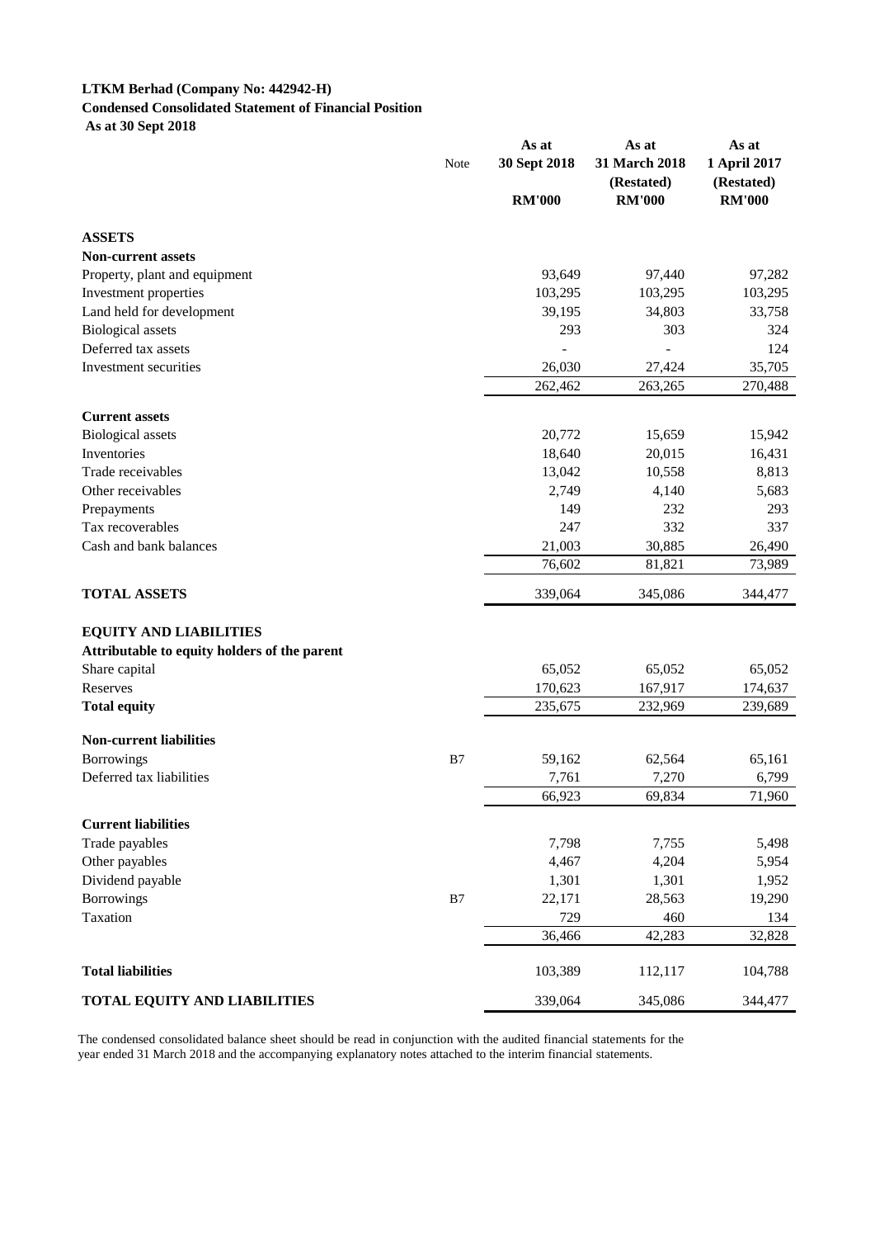# **LTKM Berhad (Company No: 442942-H) Condensed Consolidated Statement of Financial Position**

 **As at 30 Sept 2018**

|                                              |               | As at         | As at                       | As at                      |  |
|----------------------------------------------|---------------|---------------|-----------------------------|----------------------------|--|
|                                              | Note          | 30 Sept 2018  | 31 March 2018<br>(Restated) | 1 April 2017<br>(Restated) |  |
|                                              |               | <b>RM'000</b> | <b>RM'000</b>               | <b>RM'000</b>              |  |
| <b>ASSETS</b>                                |               |               |                             |                            |  |
| <b>Non-current assets</b>                    |               |               |                             |                            |  |
| Property, plant and equipment                |               | 93,649        | 97,440                      | 97,282                     |  |
| Investment properties                        |               | 103,295       | 103,295                     | 103,295                    |  |
| Land held for development                    |               | 39,195        | 34,803                      | 33,758                     |  |
| <b>Biological</b> assets                     |               | 293           | 303                         | 324                        |  |
| Deferred tax assets                          |               |               |                             | 124                        |  |
| Investment securities                        |               | 26,030        | 27,424                      | 35,705                     |  |
|                                              |               | 262,462       | 263,265                     | 270,488                    |  |
| <b>Current assets</b>                        |               |               |                             |                            |  |
| <b>Biological</b> assets                     |               | 20,772        | 15,659                      | 15,942                     |  |
| Inventories                                  |               | 18,640        | 20,015                      | 16,431                     |  |
| Trade receivables                            |               | 13,042        | 10,558                      | 8,813                      |  |
| Other receivables                            |               | 2,749         | 4,140                       | 5,683                      |  |
| Prepayments                                  |               | 149           | 232                         | 293                        |  |
| Tax recoverables                             |               | 247           | 332                         | 337                        |  |
| Cash and bank balances                       |               | 21,003        | 30,885                      | 26,490                     |  |
|                                              |               | 76,602        | 81,821                      | 73,989                     |  |
| <b>TOTAL ASSETS</b>                          |               | 339,064       | 345,086                     | 344,477                    |  |
| <b>EQUITY AND LIABILITIES</b>                |               |               |                             |                            |  |
| Attributable to equity holders of the parent |               |               |                             |                            |  |
| Share capital                                |               | 65,052        | 65,052                      | 65,052                     |  |
| Reserves                                     |               | 170,623       | 167,917                     | 174,637                    |  |
| <b>Total equity</b>                          |               | 235,675       | 232,969                     | 239,689                    |  |
| <b>Non-current liabilities</b>               |               |               |                             |                            |  |
| <b>Borrowings</b>                            | B7            | 59,162        | 62,564                      | 65,161                     |  |
| Deferred tax liabilities                     |               | 7,761         | 7,270                       | 6,799                      |  |
|                                              |               | 66,923        | 69,834                      | 71,960                     |  |
| <b>Current liabilities</b>                   |               |               |                             |                            |  |
| Trade payables                               |               | 7,798         | 7,755                       | 5,498                      |  |
| Other payables                               |               | 4,467         | 4,204                       | 5,954                      |  |
| Dividend payable                             |               | 1,301         | 1,301                       | 1,952                      |  |
| <b>Borrowings</b>                            | $\mathbf{B}7$ | 22,171        | 28,563                      | 19,290                     |  |
| Taxation                                     |               | 729           | 460                         | 134                        |  |
|                                              |               | 36,466        | 42,283                      | 32,828                     |  |
| <b>Total liabilities</b>                     |               | 103,389       | 112,117                     | 104,788                    |  |
| <b>TOTAL EQUITY AND LIABILITIES</b>          |               | 339,064       | 345,086                     | 344,477                    |  |

The condensed consolidated balance sheet should be read in conjunction with the audited financial statements for the year ended 31 March 2018 and the accompanying explanatory notes attached to the interim financial statements.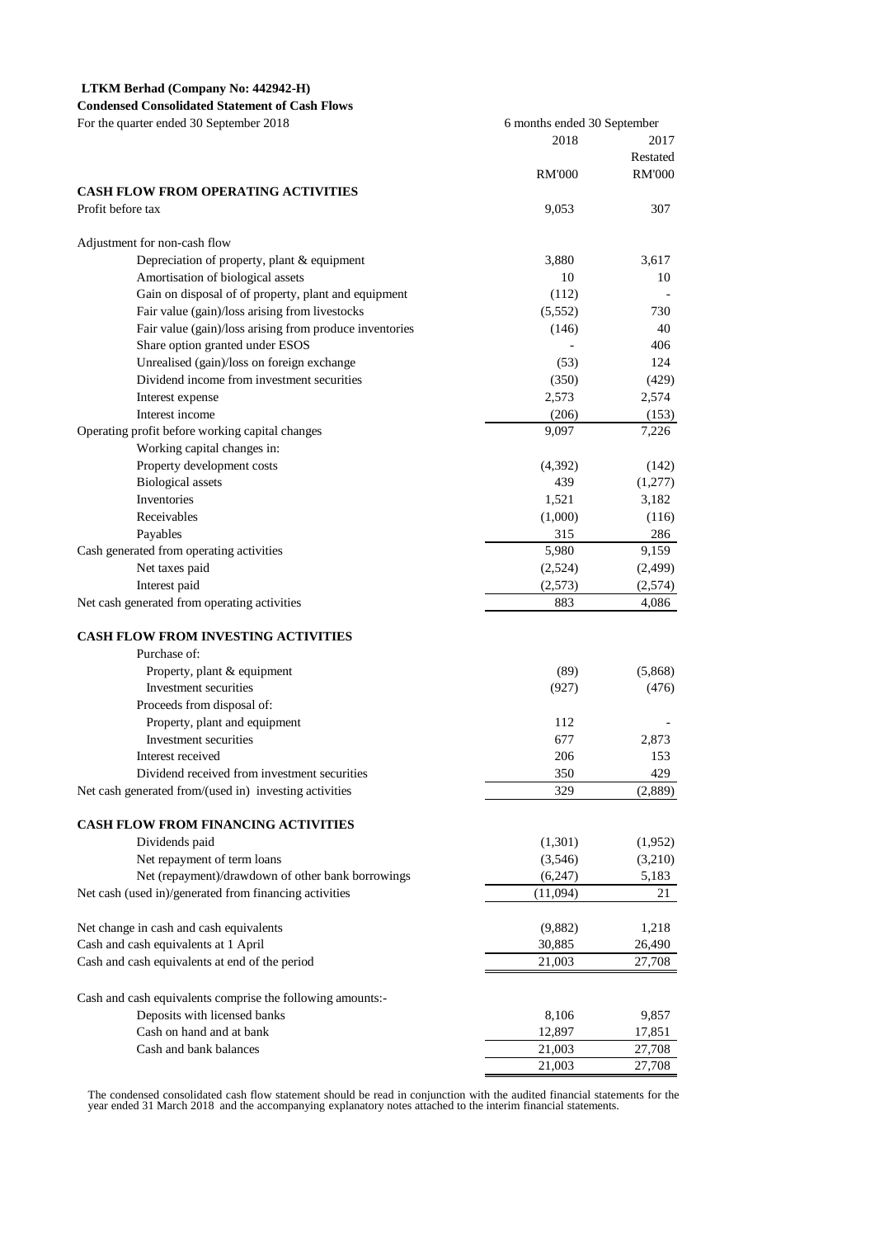#### **LTKM Berhad (Company No: 442942-H)**

**Condensed Consolidated Statement of Cash Flows** For the quarter ended 30 September 2018

|                                                            | 2018          | 2017                      |
|------------------------------------------------------------|---------------|---------------------------|
|                                                            | <b>RM'000</b> | Restated<br><b>RM'000</b> |
| <b>CASH FLOW FROM OPERATING ACTIVITIES</b>                 |               |                           |
| Profit before tax                                          | 9,053         | 307                       |
| Adjustment for non-cash flow                               |               |                           |
| Depreciation of property, plant & equipment                | 3,880         | 3,617                     |
| Amortisation of biological assets                          | 10            | 10                        |
| Gain on disposal of of property, plant and equipment       | (112)         |                           |
| Fair value (gain)/loss arising from livestocks             | (5,552)       | 730                       |
| Fair value (gain)/loss arising from produce inventories    | (146)         | 40                        |
| Share option granted under ESOS                            |               | 406                       |
| Unrealised (gain)/loss on foreign exchange                 | (53)          | 124                       |
| Dividend income from investment securities                 | (350)         | (429)                     |
| Interest expense                                           | 2,573         | 2,574                     |
| Interest income                                            | (206)         | (153)                     |
| Operating profit before working capital changes            | 9,097         | 7,226                     |
| Working capital changes in:                                |               |                           |
| Property development costs                                 | (4,392)       | (142)                     |
| <b>Biological</b> assets                                   | 439           | (1,277)                   |
| <b>Inventories</b>                                         | 1,521         | 3,182                     |
| Receivables                                                | (1,000)       | (116)                     |
| Payables                                                   | 315           | 286                       |
| Cash generated from operating activities                   | 5,980         | 9,159                     |
| Net taxes paid                                             | (2,524)       | (2, 499)                  |
| Interest paid                                              | (2,573)       | (2,574)                   |
| Net cash generated from operating activities               | 883           | 4,086                     |
| <b>CASH FLOW FROM INVESTING ACTIVITIES</b>                 |               |                           |
| Purchase of:                                               |               |                           |
| Property, plant & equipment                                | (89)          | (5,868)                   |
| Investment securities                                      | (927)         | (476)                     |
| Proceeds from disposal of:                                 |               |                           |
| Property, plant and equipment                              | 112           |                           |
| Investment securities                                      | 677           | 2,873                     |
| Interest received                                          | 206           | 153                       |
| Dividend received from investment securities               | 350           | 429                       |
| Net cash generated from/(used in) investing activities     | 329           | (2,889)                   |
| <b>CASH FLOW FROM FINANCING ACTIVITIES</b>                 |               |                           |
| Dividends paid                                             | (1,301)       | (1,952)                   |
| Net repayment of term loans                                | (3,546)       | (3,210)                   |
| Net (repayment)/drawdown of other bank borrowings          | (6,247)       | 5,183                     |
| Net cash (used in)/generated from financing activities     | (11,094)      | 21                        |
| Net change in cash and cash equivalents                    | (9,882)       | 1,218                     |
| Cash and cash equivalents at 1 April                       | 30,885        | 26,490                    |
| Cash and cash equivalents at end of the period             | 21,003        | 27,708                    |
| Cash and cash equivalents comprise the following amounts:- |               |                           |
| Deposits with licensed banks                               | 8,106         | 9,857                     |
| Cash on hand and at bank                                   | 12,897        | 17,851                    |
| Cash and bank balances                                     | 21,003        | 27,708                    |
|                                                            | 21,003        | 27,708                    |

6 months ended 30 September

The condensed consolidated cash flow statement should be read in conjunction with the audited financial statements for the<br>year ended 31 March 2018 and the accompanying explanatory notes attached to the interim financial s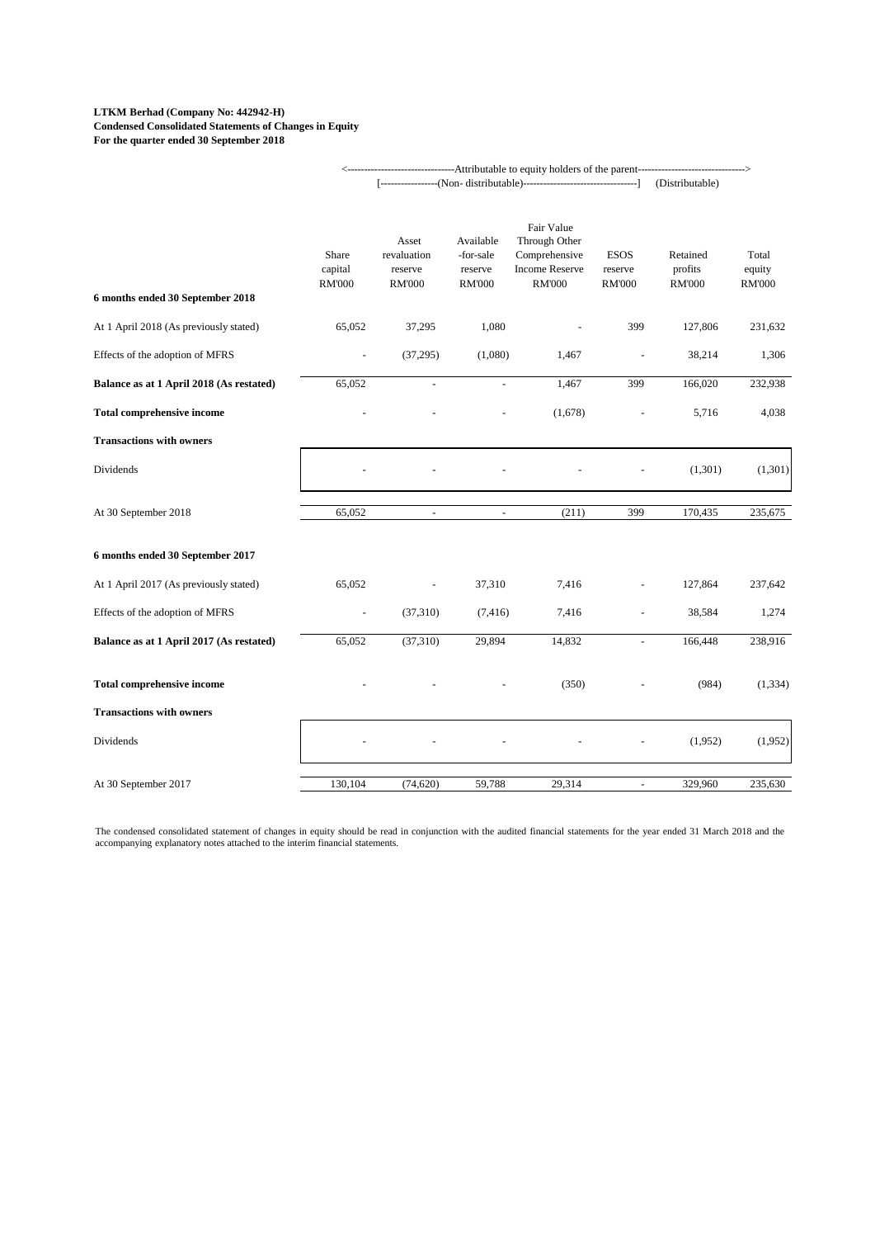#### **LTKM Berhad (Company No: 442942-H) Condensed Consolidated Statements of Changes in Equity For the quarter ended 30 September 2018**

|                                          | ------------------------------Attributable to equity holders of the parent------------------------- |                                                  |                                                    |                                                                                        |                                         |                                      |                                  |  |
|------------------------------------------|-----------------------------------------------------------------------------------------------------|--------------------------------------------------|----------------------------------------------------|----------------------------------------------------------------------------------------|-----------------------------------------|--------------------------------------|----------------------------------|--|
|                                          |                                                                                                     |                                                  |                                                    |                                                                                        |                                         | (Distributable)                      |                                  |  |
| 6 months ended 30 September 2018         | Share<br>capital<br><b>RM'000</b>                                                                   | Asset<br>revaluation<br>reserve<br><b>RM'000</b> | Available<br>-for-sale<br>reserve<br><b>RM'000</b> | Fair Value<br>Through Other<br>Comprehensive<br><b>Income Reserve</b><br><b>RM'000</b> | <b>ESOS</b><br>reserve<br><b>RM'000</b> | Retained<br>profits<br><b>RM'000</b> | Total<br>equity<br><b>RM'000</b> |  |
| At 1 April 2018 (As previously stated)   | 65,052                                                                                              | 37,295                                           | 1,080                                              |                                                                                        | 399                                     | 127,806                              | 231,632                          |  |
| Effects of the adoption of MFRS          |                                                                                                     | (37, 295)                                        | (1,080)                                            | 1,467                                                                                  |                                         | 38,214                               | 1,306                            |  |
| Balance as at 1 April 2018 (As restated) | 65,052                                                                                              | $\omega$                                         | $\mathbf{r}$                                       | 1,467                                                                                  | 399                                     | 166,020                              | 232,938                          |  |
| <b>Total comprehensive income</b>        |                                                                                                     |                                                  |                                                    | (1,678)                                                                                |                                         | 5,716                                | 4,038                            |  |
| <b>Transactions with owners</b>          |                                                                                                     |                                                  |                                                    |                                                                                        |                                         |                                      |                                  |  |
| Dividends                                |                                                                                                     |                                                  |                                                    |                                                                                        |                                         | (1,301)                              | (1,301)                          |  |
| At 30 September 2018                     | 65,052                                                                                              | $\blacksquare$                                   | $\omega$                                           | (211)                                                                                  | 399                                     | 170,435                              | 235,675                          |  |
| 6 months ended 30 September 2017         |                                                                                                     |                                                  |                                                    |                                                                                        |                                         |                                      |                                  |  |
| At 1 April 2017 (As previously stated)   | 65,052                                                                                              |                                                  | 37,310                                             | 7,416                                                                                  |                                         | 127,864                              | 237,642                          |  |
| Effects of the adoption of MFRS          |                                                                                                     | (37, 310)                                        | (7, 416)                                           | 7,416                                                                                  |                                         | 38,584                               | 1,274                            |  |
| Balance as at 1 April 2017 (As restated) | 65,052                                                                                              | (37, 310)                                        | 29,894                                             | 14,832                                                                                 | $\equiv$                                | 166,448                              | 238,916                          |  |
| <b>Total comprehensive income</b>        |                                                                                                     |                                                  |                                                    | (350)                                                                                  |                                         | (984)                                | (1, 334)                         |  |
| <b>Transactions with owners</b>          |                                                                                                     |                                                  |                                                    |                                                                                        |                                         |                                      |                                  |  |
| Dividends                                |                                                                                                     |                                                  |                                                    |                                                                                        |                                         | (1,952)                              | (1,952)                          |  |
| At 30 September 2017                     | 130,104                                                                                             | (74, 620)                                        | 59,788                                             | 29,314                                                                                 | $\overline{\phantom{a}}$                | 329,960                              | 235,630                          |  |

The condensed consolidated statement of changes in equity should be read in conjunction with the audited financial statements for the year ended 31 March 2018 and the<br>accompanying explanatory notes attached to the interim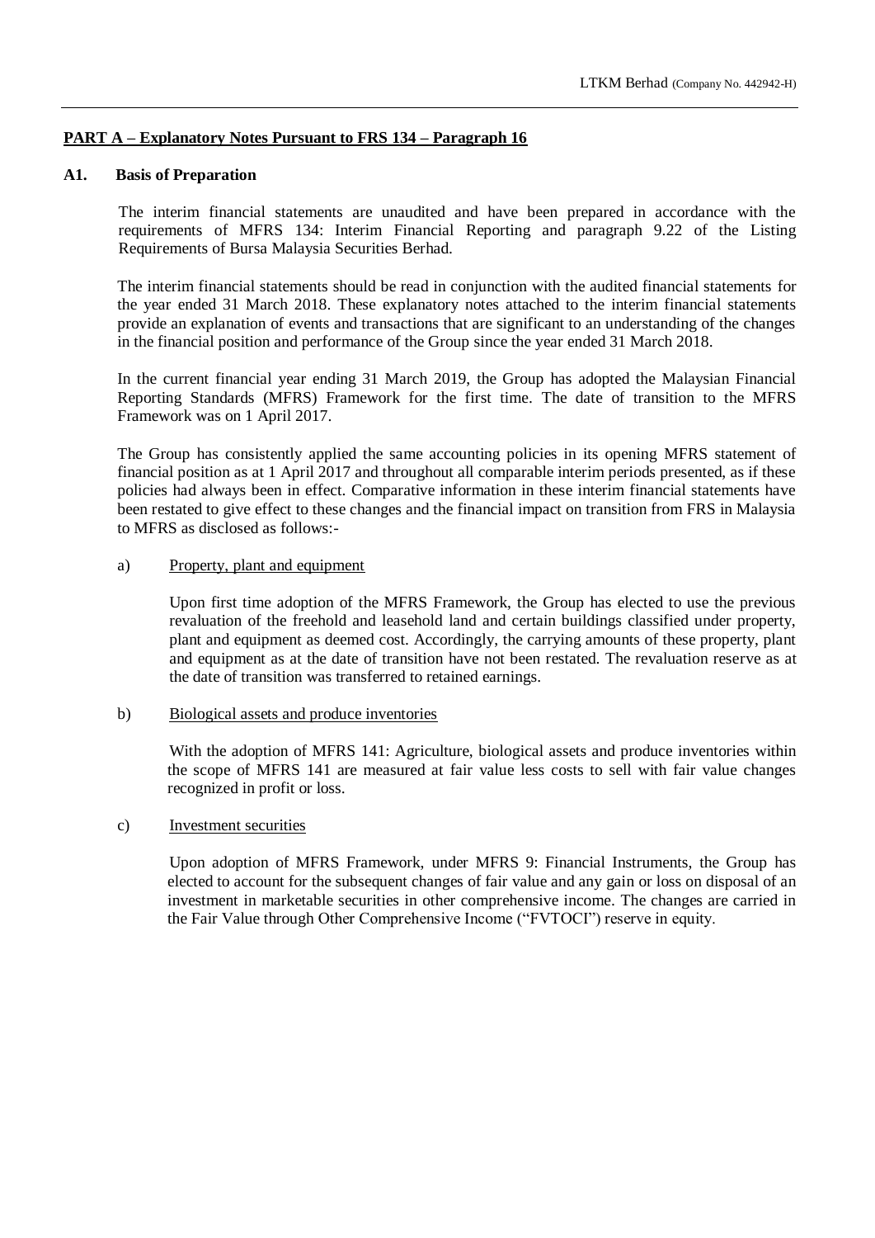## **PART A – Explanatory Notes Pursuant to FRS 134 – Paragraph 16**

#### **A1. Basis of Preparation**

The interim financial statements are unaudited and have been prepared in accordance with the requirements of MFRS 134: Interim Financial Reporting and paragraph 9.22 of the Listing Requirements of Bursa Malaysia Securities Berhad.

The interim financial statements should be read in conjunction with the audited financial statements for the year ended 31 March 2018. These explanatory notes attached to the interim financial statements provide an explanation of events and transactions that are significant to an understanding of the changes in the financial position and performance of the Group since the year ended 31 March 2018.

In the current financial year ending 31 March 2019, the Group has adopted the Malaysian Financial Reporting Standards (MFRS) Framework for the first time. The date of transition to the MFRS Framework was on 1 April 2017.

The Group has consistently applied the same accounting policies in its opening MFRS statement of financial position as at 1 April 2017 and throughout all comparable interim periods presented, as if these policies had always been in effect. Comparative information in these interim financial statements have been restated to give effect to these changes and the financial impact on transition from FRS in Malaysia to MFRS as disclosed as follows:-

#### a) Property, plant and equipment

Upon first time adoption of the MFRS Framework, the Group has elected to use the previous revaluation of the freehold and leasehold land and certain buildings classified under property, plant and equipment as deemed cost. Accordingly, the carrying amounts of these property, plant and equipment as at the date of transition have not been restated. The revaluation reserve as at the date of transition was transferred to retained earnings.

#### b) Biological assets and produce inventories

With the adoption of MFRS 141: Agriculture, biological assets and produce inventories within the scope of MFRS 141 are measured at fair value less costs to sell with fair value changes recognized in profit or loss.

#### c) Investment securities

Upon adoption of MFRS Framework, under MFRS 9: Financial Instruments, the Group has elected to account for the subsequent changes of fair value and any gain or loss on disposal of an investment in marketable securities in other comprehensive income. The changes are carried in the Fair Value through Other Comprehensive Income ("FVTOCI") reserve in equity.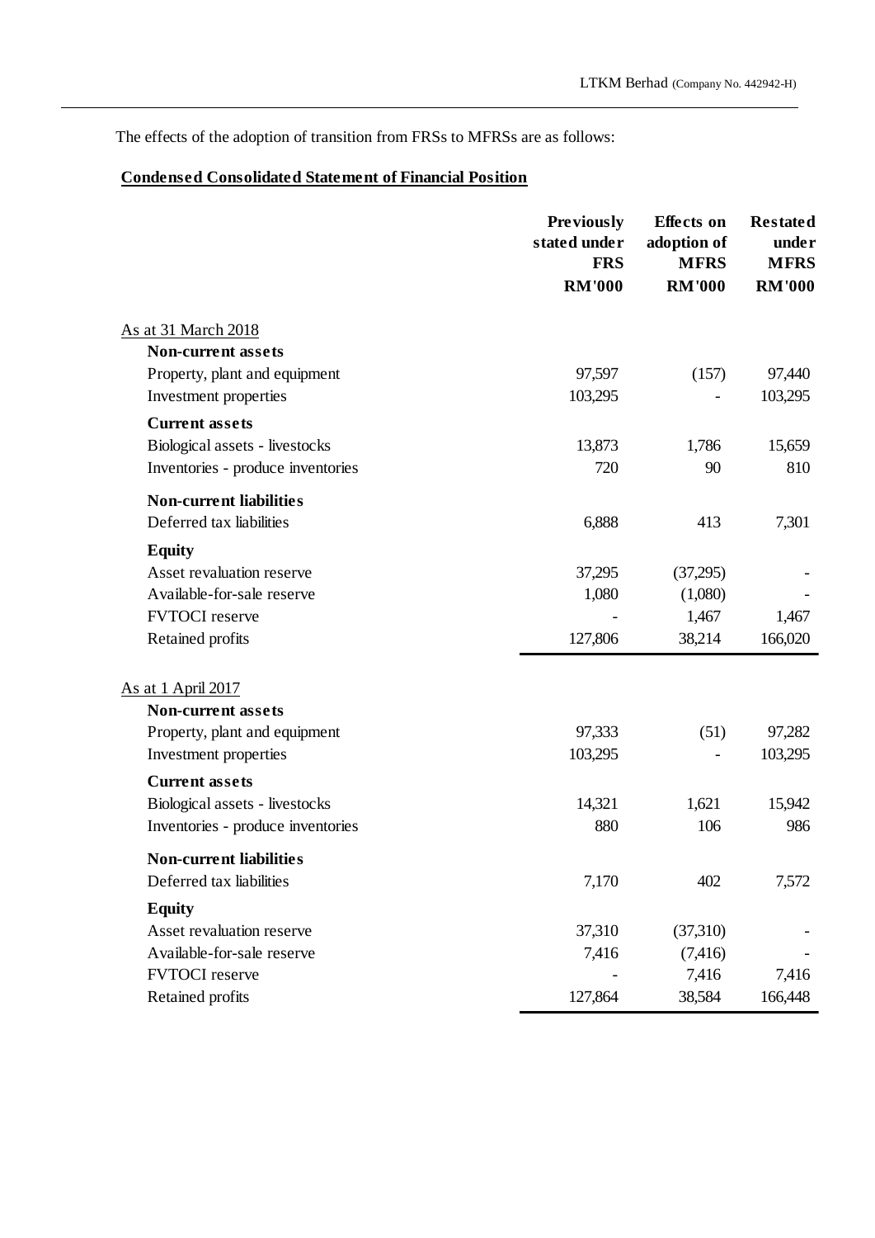The effects of the adoption of transition from FRSs to MFRSs are as follows:

# **Condensed Consolidated Statement of Financial Position**

|                                                                     | <b>Previously</b><br>stated under<br><b>FRS</b> | <b>Effects</b> on<br>adoption of<br><b>MFRS</b> | <b>Restated</b><br>under<br><b>MFRS</b> |
|---------------------------------------------------------------------|-------------------------------------------------|-------------------------------------------------|-----------------------------------------|
|                                                                     | <b>RM'000</b>                                   | <b>RM'000</b>                                   | <b>RM'000</b>                           |
| As at 31 March 2018                                                 |                                                 |                                                 |                                         |
| <b>Non-current assets</b>                                           |                                                 |                                                 |                                         |
| Property, plant and equipment                                       | 97,597                                          | (157)                                           | 97,440                                  |
| Investment properties                                               | 103,295                                         |                                                 | 103,295                                 |
| <b>Current assets</b>                                               |                                                 |                                                 |                                         |
| Biological assets - livestocks                                      | 13,873                                          | 1,786                                           | 15,659                                  |
| Inventories - produce inventories                                   | 720                                             | 90                                              | 810                                     |
| <b>Non-current liabilities</b>                                      |                                                 |                                                 |                                         |
| Deferred tax liabilities                                            | 6,888                                           | 413                                             | 7,301                                   |
| <b>Equity</b>                                                       |                                                 |                                                 |                                         |
| Asset revaluation reserve                                           | 37,295                                          | (37,295)                                        |                                         |
| Available-for-sale reserve                                          | 1,080                                           | (1,080)                                         |                                         |
| <b>FVTOCI</b> reserve                                               |                                                 | 1,467                                           | 1,467                                   |
| Retained profits                                                    | 127,806                                         | 38,214                                          | 166,020                                 |
|                                                                     |                                                 |                                                 |                                         |
| As at 1 April 2017<br><b>Non-current assets</b>                     |                                                 |                                                 |                                         |
| Property, plant and equipment                                       | 97,333                                          | (51)                                            | 97,282                                  |
| Investment properties                                               | 103,295                                         |                                                 | 103,295                                 |
| <b>Current assets</b>                                               |                                                 |                                                 |                                         |
|                                                                     | 14,321                                          | 1,621                                           |                                         |
| Biological assets - livestocks<br>Inventories - produce inventories | 880                                             | 106                                             | 15,942<br>986                           |
|                                                                     |                                                 |                                                 |                                         |
| <b>Non-current liabilities</b>                                      |                                                 |                                                 |                                         |
| Deferred tax liabilities                                            | 7,170                                           | 402                                             | 7,572                                   |
| <b>Equity</b>                                                       |                                                 |                                                 |                                         |
| Asset revaluation reserve                                           | 37,310                                          | (37,310)                                        |                                         |
| Available-for-sale reserve                                          | 7,416                                           | (7, 416)                                        |                                         |
| <b>FVTOCI</b> reserve                                               |                                                 | 7,416                                           | 7,416                                   |
| Retained profits                                                    | 127,864                                         | 38,584                                          | 166,448                                 |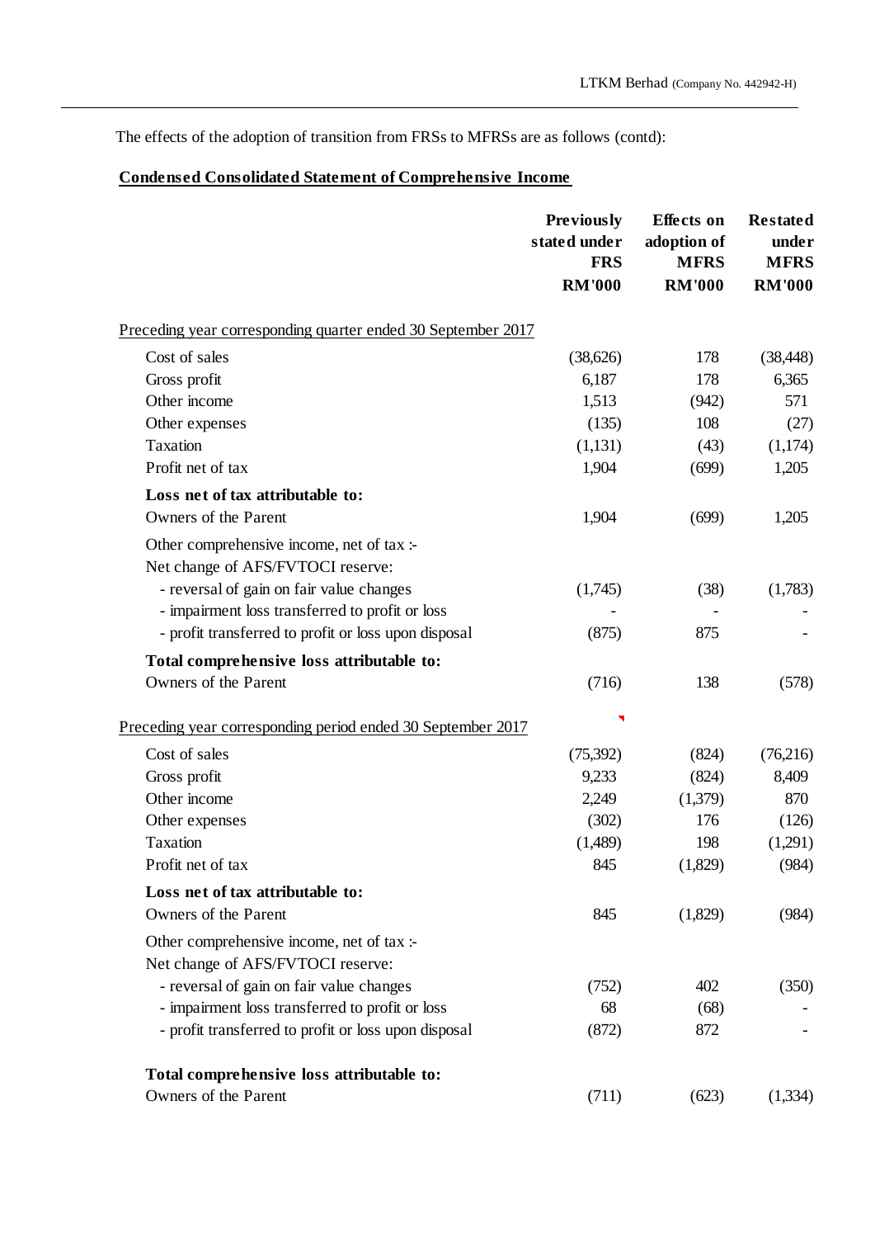The effects of the adoption of transition from FRSs to MFRSs are as follows (contd):

# **Condensed Consolidated Statement of Comprehensive Income**

|                                                                                | <b>Previously</b><br>stated under<br><b>FRS</b><br><b>RM'000</b> | <b>Effects</b> on<br>adoption of<br><b>MFRS</b><br><b>RM'000</b> | <b>Restated</b><br>under<br><b>MFRS</b><br><b>RM'000</b> |
|--------------------------------------------------------------------------------|------------------------------------------------------------------|------------------------------------------------------------------|----------------------------------------------------------|
|                                                                                |                                                                  |                                                                  |                                                          |
| Preceding year corresponding quarter ended 30 September 2017                   |                                                                  |                                                                  |                                                          |
| Cost of sales                                                                  | (38, 626)                                                        | 178                                                              | (38, 448)                                                |
| Gross profit                                                                   | 6,187                                                            | 178                                                              | 6,365                                                    |
| Other income                                                                   | 1,513                                                            | (942)                                                            | 571                                                      |
| Other expenses                                                                 | (135)                                                            | 108                                                              | (27)                                                     |
| <b>Taxation</b>                                                                | (1,131)                                                          | (43)                                                             | (1,174)                                                  |
| Profit net of tax                                                              | 1,904                                                            | (699)                                                            | 1,205                                                    |
| Loss net of tax attributable to:                                               |                                                                  |                                                                  |                                                          |
| Owners of the Parent                                                           | 1,904                                                            | (699)                                                            | 1,205                                                    |
| Other comprehensive income, net of tax :-<br>Net change of AFS/FVTOCI reserve: |                                                                  |                                                                  |                                                          |
| - reversal of gain on fair value changes                                       | (1,745)                                                          | (38)                                                             | (1,783)                                                  |
| - impairment loss transferred to profit or loss                                |                                                                  |                                                                  |                                                          |
| - profit transferred to profit or loss upon disposal                           | (875)                                                            | 875                                                              |                                                          |
| Total comprehensive loss attributable to:                                      |                                                                  |                                                                  |                                                          |
| Owners of the Parent                                                           | (716)                                                            | 138                                                              | (578)                                                    |
| Preceding year corresponding period ended 30 September 2017                    |                                                                  |                                                                  |                                                          |
| Cost of sales                                                                  | (75,392)                                                         | (824)                                                            | (76,216)                                                 |
| Gross profit                                                                   | 9,233                                                            | (824)                                                            | 8,409                                                    |
| Other income                                                                   | 2,249                                                            | (1,379)                                                          | 870                                                      |
| Other expenses                                                                 | (302)                                                            | 176                                                              | (126)                                                    |
| Taxation                                                                       | (1,489)                                                          | 198                                                              | (1,291)                                                  |
| Profit net of tax                                                              | 845                                                              | (1,829)                                                          | (984)                                                    |
| Loss net of tax attributable to:                                               |                                                                  |                                                                  |                                                          |
| Owners of the Parent                                                           | 845                                                              | (1,829)                                                          | (984)                                                    |
| Other comprehensive income, net of tax :-                                      |                                                                  |                                                                  |                                                          |
| Net change of AFS/FVTOCI reserve:                                              |                                                                  |                                                                  |                                                          |
| - reversal of gain on fair value changes                                       | (752)                                                            | 402                                                              | (350)                                                    |
| - impairment loss transferred to profit or loss                                | 68                                                               | (68)                                                             |                                                          |
| - profit transferred to profit or loss upon disposal                           | (872)                                                            | 872                                                              |                                                          |
| Total comprehensive loss attributable to:                                      |                                                                  |                                                                  |                                                          |
| Owners of the Parent                                                           | (711)                                                            | (623)                                                            | (1,334)                                                  |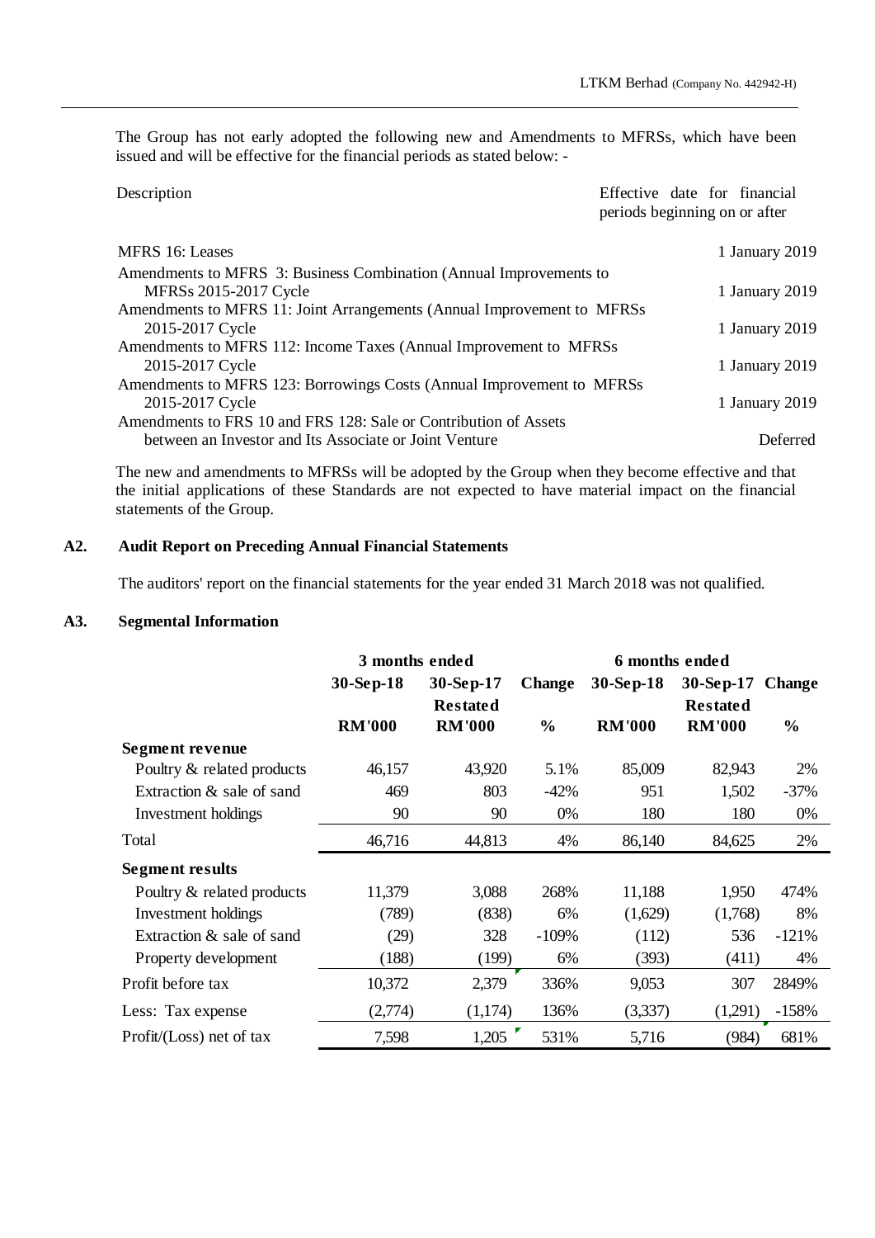The Group has not early adopted the following new and Amendments to MFRSs, which have been issued and will be effective for the financial periods as stated below: -

| Description                                                            | Effective date for financial<br>periods beginning on or after |
|------------------------------------------------------------------------|---------------------------------------------------------------|
| MFRS 16: Leases                                                        | 1 January 2019                                                |
| Amendments to MFRS 3: Business Combination (Annual Improvements to     |                                                               |
| <b>MFRSs 2015-2017 Cycle</b>                                           | 1 January 2019                                                |
| Amendments to MFRS 11: Joint Arrangements (Annual Improvement to MFRSs |                                                               |
| 2015-2017 Cycle                                                        | 1 January 2019                                                |
| Amendments to MFRS 112: Income Taxes (Annual Improvement to MFRSs      |                                                               |
| 2015-2017 Cycle                                                        | 1 January 2019                                                |
| Amendments to MFRS 123: Borrowings Costs (Annual Improvement to MFRSs) |                                                               |
| 2015-2017 Cycle                                                        | 1 January 2019                                                |
| Amendments to FRS 10 and FRS 128: Sale or Contribution of Assets       |                                                               |
| between an Investor and Its Associate or Joint Venture                 | <b>Deferred</b>                                               |

The new and amendments to MFRSs will be adopted by the Group when they become effective and that the initial applications of these Standards are not expected to have material impact on the financial statements of the Group.

## **A2. Audit Report on Preceding Annual Financial Statements**

The auditors' report on the financial statements for the year ended 31 March 2018 was not qualified.

## **A3. Segmental Information**

|                              | 3 months ended |                 | 6 months ended |               |                 |               |
|------------------------------|----------------|-----------------|----------------|---------------|-----------------|---------------|
|                              | 30-Sep-18      | 30-Sep-17       | <b>Change</b>  | $30-Sep-18$   | 30-Sep-17       | <b>Change</b> |
|                              |                | <b>Restated</b> |                |               | <b>Restated</b> |               |
|                              | <b>RM'000</b>  | <b>RM'000</b>   | $\frac{0}{0}$  | <b>RM'000</b> | <b>RM'000</b>   | $\frac{6}{6}$ |
| Segment revenue              |                |                 |                |               |                 |               |
| Poultry & related products   | 46,157         | 43,920          | 5.1%           | 85,009        | 82,943          | 2%            |
| Extraction & sale of sand    | 469            | 803             | $-42%$         | 951           | 1,502           | $-37%$        |
| Investment holdings          | 90             | 90              | 0%             | 180           | 180             | 0%            |
| Total                        | 46,716         | 44,813          | 4%             | 86,140        | 84,625          | 2%            |
| <b>Segment results</b>       |                |                 |                |               |                 |               |
| Poultry & related products   | 11,379         | 3,088           | 268%           | 11,188        | 1,950           | 474%          |
| Investment holdings          | (789)          | (838)           | 6%             | (1,629)       | (1,768)         | 8%            |
| Extraction & sale of sand    | (29)           | 328             | $-109%$        | (112)         | 536             | $-121%$       |
| Property development         | (188)          | (199)           | 6%             | (393)         | (411)           | 4%            |
| Profit before tax            | 10,372         | 2,379           | 336%           | 9,053         | 307             | 2849%         |
| Less: Tax expense            | (2,774)        | (1,174)         | 136%           | (3,337)       | (1,291)         | $-158%$       |
| $Profit / (Loss)$ net of tax | 7,598          | 1,205           | 531%           | 5,716         | (984)           | 681%          |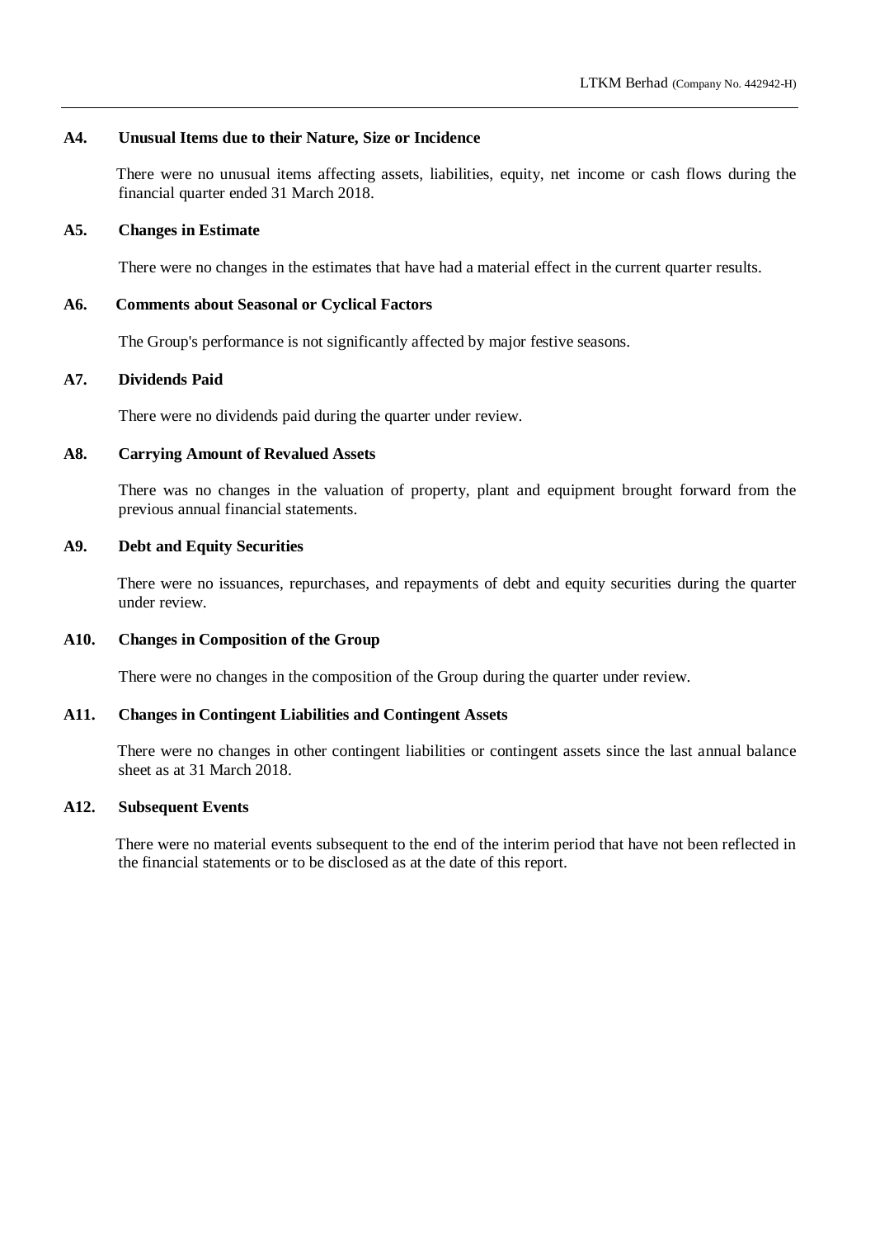## **A4. Unusual Items due to their Nature, Size or Incidence**

There were no unusual items affecting assets, liabilities, equity, net income or cash flows during the financial quarter ended 31 March 2018.

### **A5. Changes in Estimate**

There were no changes in the estimates that have had a material effect in the current quarter results.

## **A6. Comments about Seasonal or Cyclical Factors**

The Group's performance is not significantly affected by major festive seasons.

## **A7. Dividends Paid**

There were no dividends paid during the quarter under review.

### **A8. Carrying Amount of Revalued Assets**

There was no changes in the valuation of property, plant and equipment brought forward from the previous annual financial statements.

## **A9. Debt and Equity Securities**

There were no issuances, repurchases, and repayments of debt and equity securities during the quarter under review.

## **A10. Changes in Composition of the Group**

There were no changes in the composition of the Group during the quarter under review.

#### **A11. Changes in Contingent Liabilities and Contingent Assets**

There were no changes in other contingent liabilities or contingent assets since the last annual balance sheet as at 31 March 2018.

## **A12. Subsequent Events**

There were no material events subsequent to the end of the interim period that have not been reflected in the financial statements or to be disclosed as at the date of this report.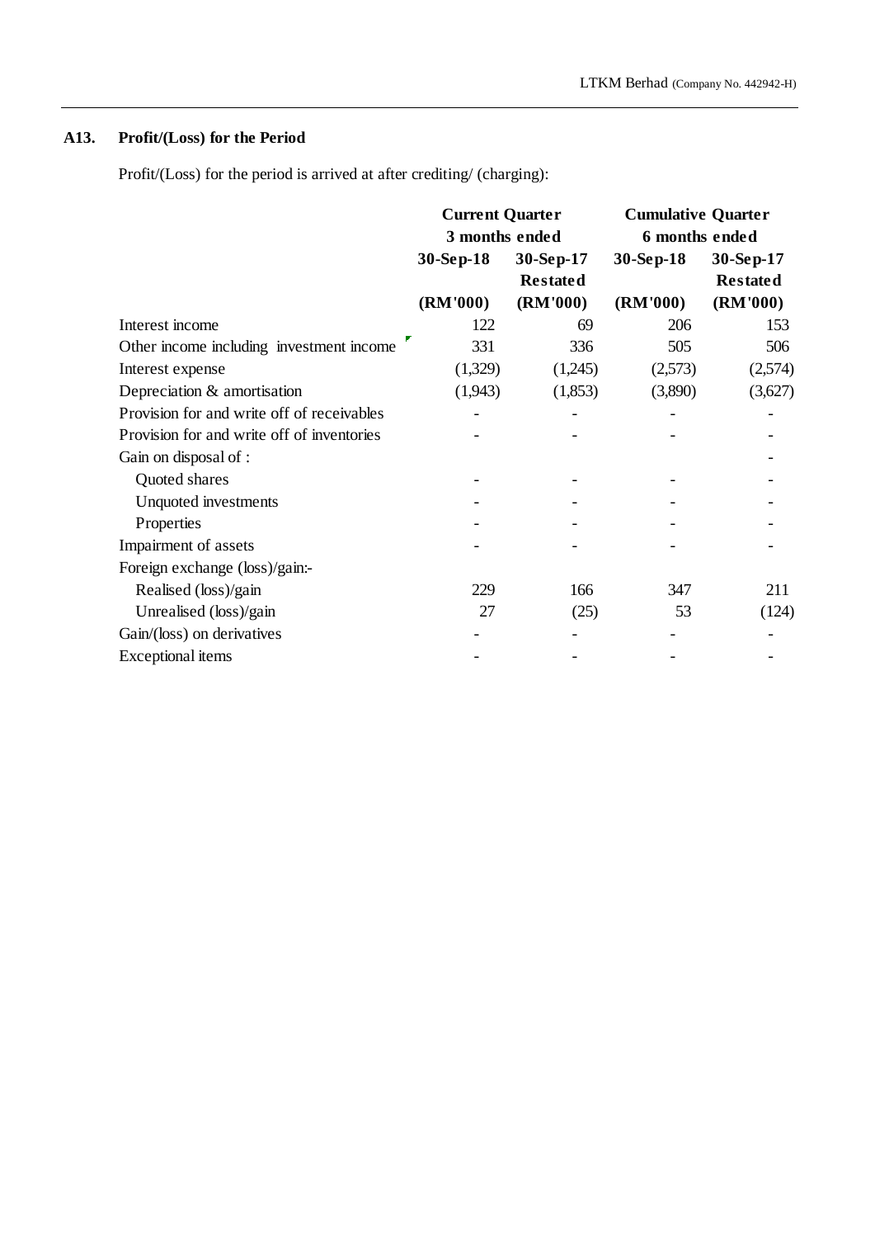# **A13. Profit/(Loss) for the Period**

Profit/(Loss) for the period is arrived at after crediting/ (charging):

|                                            | <b>Current Quarter</b><br>3 months ended |                 | <b>Cumulative Quarter</b> |                 |  |
|--------------------------------------------|------------------------------------------|-----------------|---------------------------|-----------------|--|
|                                            |                                          |                 | 6 months ended            |                 |  |
|                                            | 30-Sep-18<br>30-Sep-17                   |                 | 30-Sep-18                 | 30-Sep-17       |  |
|                                            |                                          | <b>Restated</b> |                           | <b>Restated</b> |  |
|                                            | (RM'000)                                 | (RM'000)        | (RM'000)                  | (RM'000)        |  |
| Interest income                            | 122                                      | 69              | 206                       | 153             |  |
| Other income including investment income   | 331                                      | 336             | 505                       | 506             |  |
| Interest expense                           | (1,329)                                  | (1,245)         | (2,573)                   | (2,574)         |  |
| Depreciation & amortisation                | (1,943)                                  | (1,853)         | (3,890)                   | (3,627)         |  |
| Provision for and write off of receivables |                                          |                 |                           |                 |  |
| Provision for and write off of inventories |                                          |                 |                           |                 |  |
| Gain on disposal of :                      |                                          |                 |                           |                 |  |
| Quoted shares                              |                                          |                 |                           |                 |  |
| Unquoted investments                       |                                          |                 |                           |                 |  |
| Properties                                 |                                          |                 |                           |                 |  |
| Impairment of assets                       |                                          |                 |                           |                 |  |
| Foreign exchange (loss)/gain:-             |                                          |                 |                           |                 |  |
| Realised (loss)/gain                       | 229                                      | 166             | 347                       | 211             |  |
| Unrealised (loss)/gain                     | 27                                       | (25)            | 53                        | (124)           |  |
| Gain/(loss) on derivatives                 |                                          |                 |                           |                 |  |
| Exceptional items                          |                                          |                 |                           |                 |  |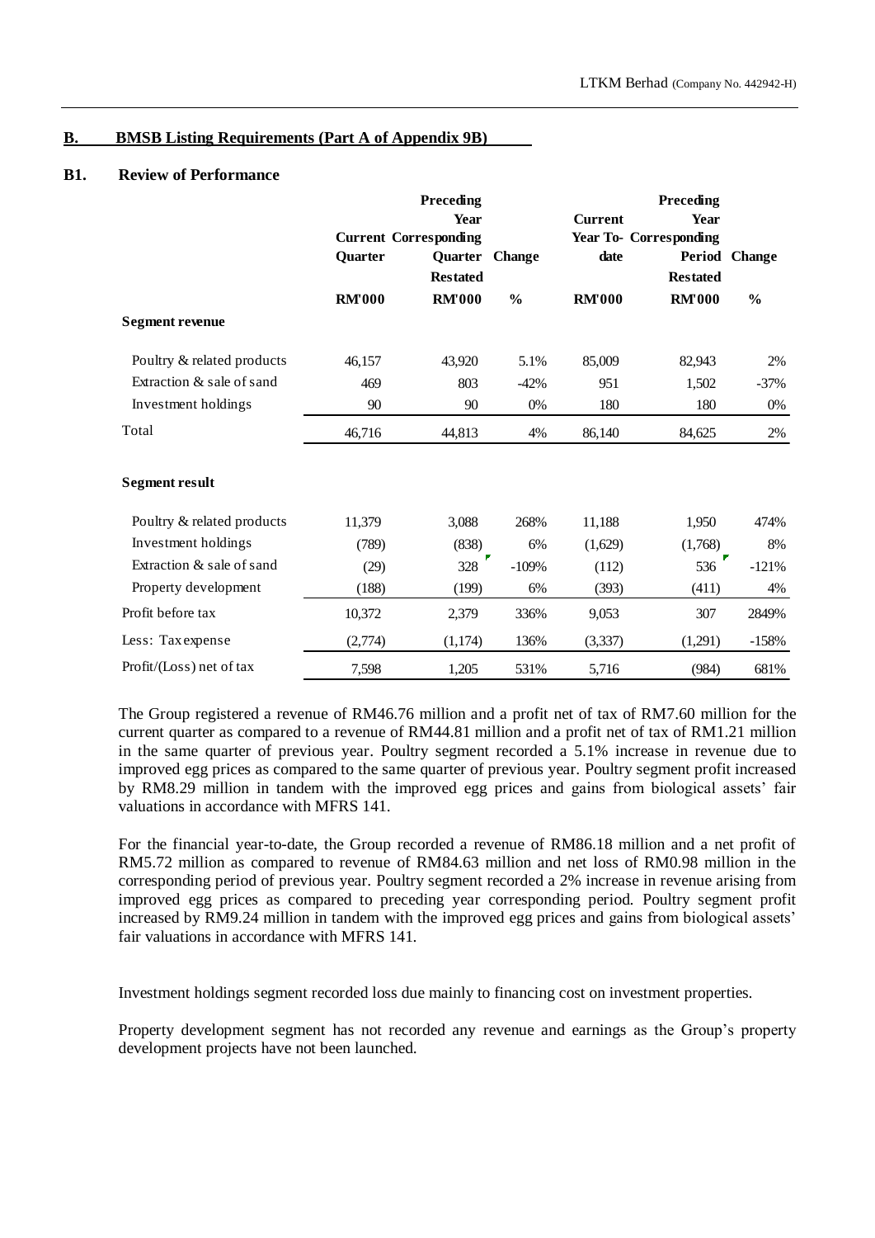## **B. BMSB Listing Requirements (Part A of Appendix 9B)**

#### **B1. Review of Performance**

|                            |               | Preceding                    |               |                | Preceding                     |               |  |
|----------------------------|---------------|------------------------------|---------------|----------------|-------------------------------|---------------|--|
|                            |               | Year                         |               | <b>Current</b> | <b>Year</b>                   |               |  |
|                            |               | <b>Current Corresponding</b> |               |                | <b>Year To- Corresponding</b> |               |  |
|                            | Quarter       | Quarter Change               |               | date           | Period                        | <b>Change</b> |  |
|                            |               | <b>Restated</b>              |               |                | <b>Restated</b>               |               |  |
|                            | <b>RM'000</b> | <b>RM'000</b>                | $\frac{0}{0}$ | <b>RM'000</b>  | <b>RM'000</b>                 | $\frac{0}{0}$ |  |
| <b>Segment revenue</b>     |               |                              |               |                |                               |               |  |
| Poultry & related products | 46,157        | 43,920                       | 5.1%          | 85,009         | 82,943                        | 2%            |  |
| Extraction & sale of sand  | 469           | 803                          | $-42%$        | 951            | 1,502                         | $-37%$        |  |
| Investment holdings        | 90            | 90                           | 0%            | 180            | 180                           | 0%            |  |
| Total                      | 46,716        | 44,813                       | 4%            | 86,140         | 84,625                        | 2%            |  |
| <b>Segment result</b>      |               |                              |               |                |                               |               |  |
| Poultry & related products | 11,379        | 3,088                        | 268%          | 11,188         | 1,950                         | 474%          |  |
| Investment holdings        | (789)         | (838)                        | 6%            | (1,629)        | (1,768)                       | 8%            |  |
| Extraction & sale of sand  | (29)          | 328                          | $-109%$       | (112)          | 536                           | $-121%$       |  |
| Property development       | (188)         | (199)                        | 6%            | (393)          | (411)                         | 4%            |  |
| Profit before tax          | 10,372        | 2,379                        | 336%          | 9,053          | 307                           | 2849%         |  |
| Less: Tax expense          | (2,774)       | (1,174)                      | 136%          | (3, 337)       | (1,291)                       | $-158%$       |  |
| Profit/(Loss) net of tax   | 7,598         | 1,205                        | 531%          | 5,716          | (984)                         | 681%          |  |

The Group registered a revenue of RM46.76 million and a profit net of tax of RM7.60 million for the current quarter as compared to a revenue of RM44.81 million and a profit net of tax of RM1.21 million in the same quarter of previous year. Poultry segment recorded a 5.1% increase in revenue due to improved egg prices as compared to the same quarter of previous year. Poultry segment profit increased by RM8.29 million in tandem with the improved egg prices and gains from biological assets' fair valuations in accordance with MFRS 141.

For the financial year-to-date, the Group recorded a revenue of RM86.18 million and a net profit of RM5.72 million as compared to revenue of RM84.63 million and net loss of RM0.98 million in the corresponding period of previous year. Poultry segment recorded a 2% increase in revenue arising from improved egg prices as compared to preceding year corresponding period. Poultry segment profit increased by RM9.24 million in tandem with the improved egg prices and gains from biological assets' fair valuations in accordance with MFRS 141.

Investment holdings segment recorded loss due mainly to financing cost on investment properties.

Property development segment has not recorded any revenue and earnings as the Group's property development projects have not been launched.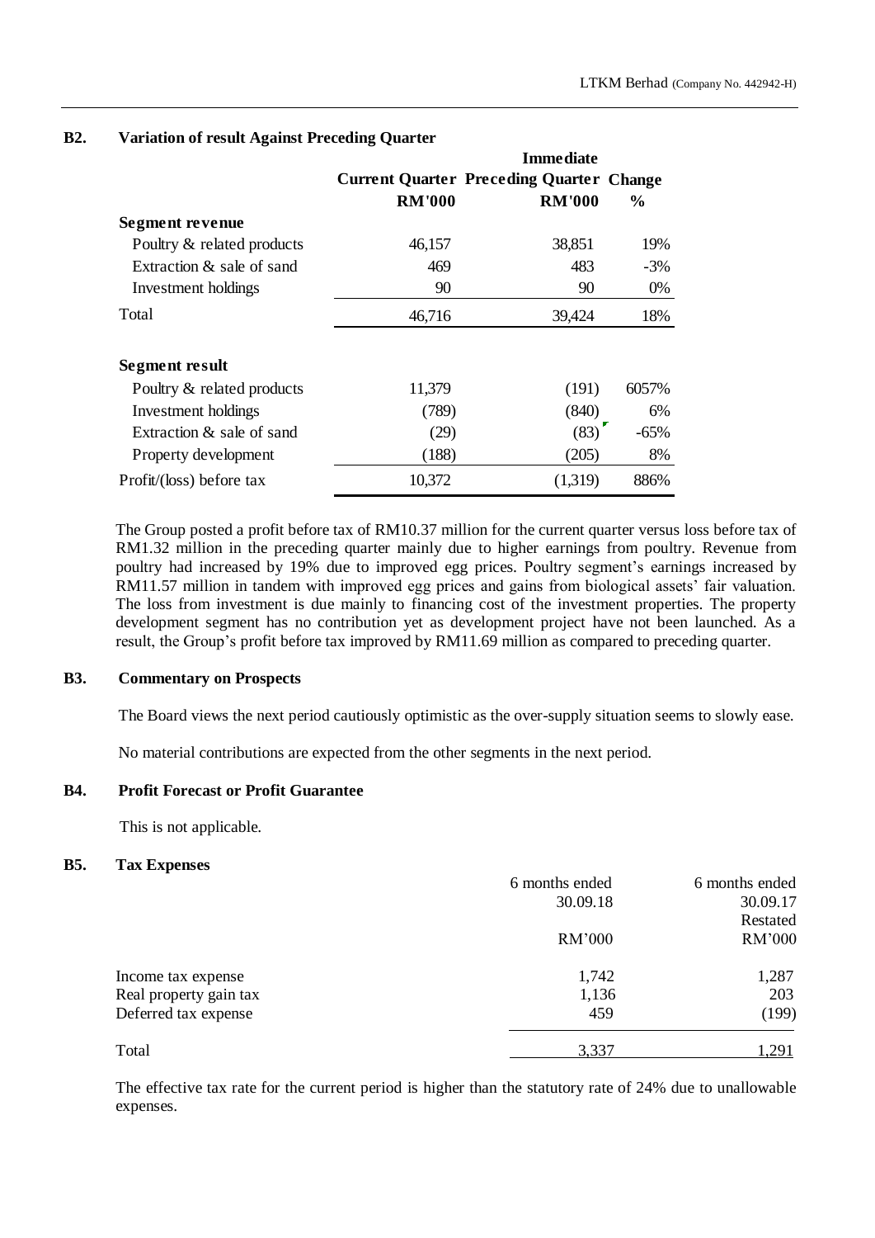|                              |               | <b>Immediate</b>                                |               |
|------------------------------|---------------|-------------------------------------------------|---------------|
|                              |               | <b>Current Quarter Preceding Quarter Change</b> |               |
|                              | <b>RM'000</b> | <b>RM'000</b>                                   | $\frac{6}{9}$ |
| Segment revenue              |               |                                                 |               |
| Poultry & related products   | 46,157        | 38,851                                          | 19%           |
| Extraction $\&$ sale of sand | 469           | 483                                             | $-3\%$        |
| Investment holdings          | 90            | 90                                              | 0%            |
| Total                        | 46,716        | 39,424                                          | 18%           |
| Segment result               |               |                                                 |               |
| Poultry & related products   | 11,379        | (191)                                           | 6057%         |
| Investment holdings          | (789)         | (840)                                           | 6%            |
| Extraction & sale of sand    | (29)          | (83)                                            | $-65%$        |
| Property development         | (188)         | (205)                                           | 8%            |
| Profit/(loss) before tax     | 10,372        | (1,319)                                         | 886%          |

## **B2. Variation of result Against Preceding Quarter**

The Group posted a profit before tax of RM10.37 million for the current quarter versus loss before tax of RM1.32 million in the preceding quarter mainly due to higher earnings from poultry. Revenue from poultry had increased by 19% due to improved egg prices. Poultry segment's earnings increased by RM11.57 million in tandem with improved egg prices and gains from biological assets' fair valuation. The loss from investment is due mainly to financing cost of the investment properties. The property development segment has no contribution yet as development project have not been launched. As a result, the Group's profit before tax improved by RM11.69 million as compared to preceding quarter.

## **B3. Commentary on Prospects**

The Board views the next period cautiously optimistic as the over-supply situation seems to slowly ease.

No material contributions are expected from the other segments in the next period.

### **B4. Profit Forecast or Profit Guarantee**

This is not applicable.

### **B5. Tax Expenses**

|                        | 6 months ended | 6 months ended |
|------------------------|----------------|----------------|
|                        | 30.09.18       | 30.09.17       |
|                        |                | Restated       |
|                        | RM'000         | RM'000         |
| Income tax expense     | 1,742          | 1,287          |
| Real property gain tax | 1,136          | 203            |
| Deferred tax expense   | 459            | (199)          |
| Total                  | 3,337          | 1,291          |
|                        |                |                |

The effective tax rate for the current period is higher than the statutory rate of 24% due to unallowable expenses.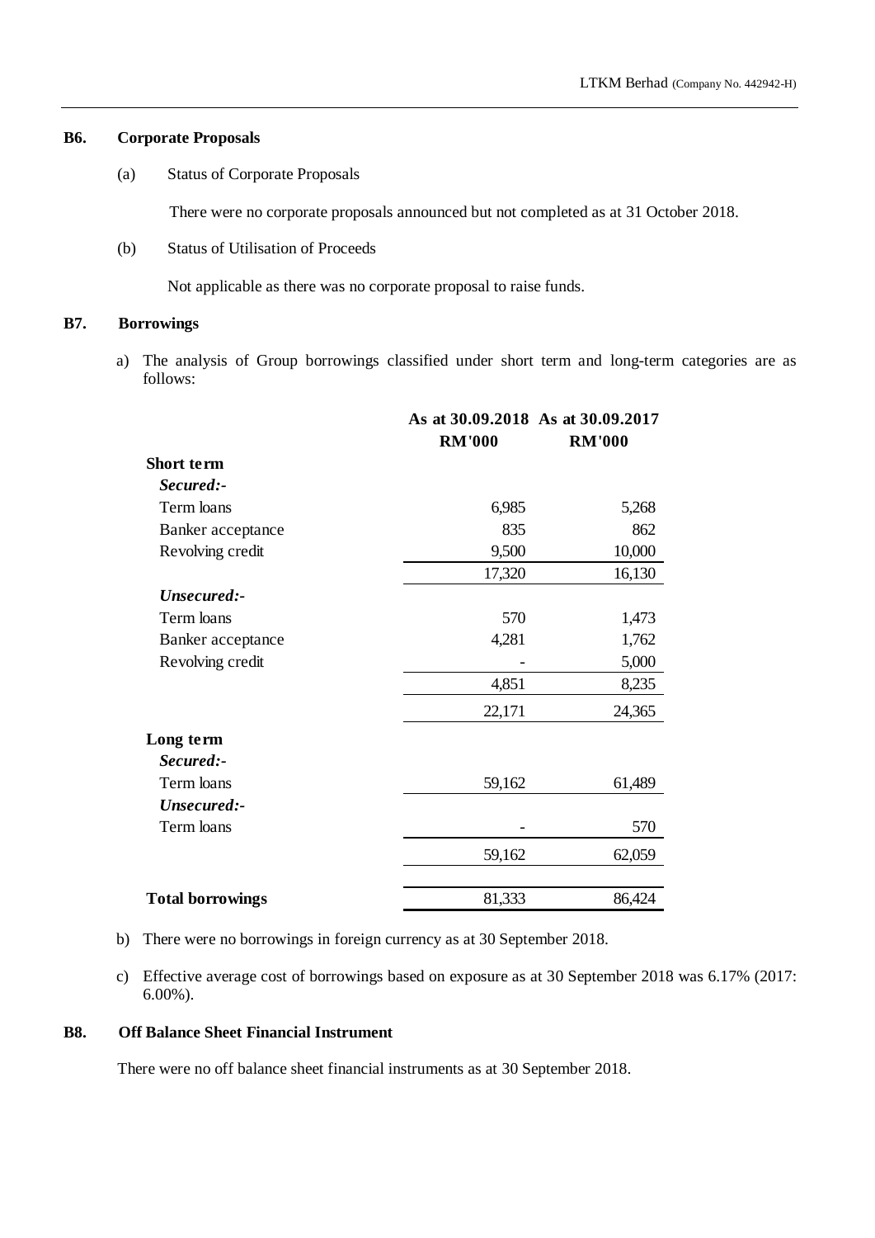## **B6. Corporate Proposals**

(a) Status of Corporate Proposals

There were no corporate proposals announced but not completed as at 31 October 2018.

(b) Status of Utilisation of Proceeds

Not applicable as there was no corporate proposal to raise funds.

## **B7. Borrowings**

a) The analysis of Group borrowings classified under short term and long-term categories are as follows:

|                         |               | As at 30.09.2018 As at 30.09.2017 |
|-------------------------|---------------|-----------------------------------|
|                         | <b>RM'000</b> | <b>RM'000</b>                     |
| Short term              |               |                                   |
| Secured:-               |               |                                   |
| Term loans              | 6,985         | 5,268                             |
| Banker acceptance       | 835           | 862                               |
| Revolving credit        | 9,500         | 10,000                            |
|                         | 17,320        | 16,130                            |
| Unsecured:-             |               |                                   |
| Term loans              | 570           | 1,473                             |
| Banker acceptance       | 4,281         | 1,762                             |
| Revolving credit        |               | 5,000                             |
|                         | 4,851         | 8,235                             |
|                         | 22,171        | 24,365                            |
| Long term               |               |                                   |
| Secured:-               |               |                                   |
| Term loans              | 59,162        | 61,489                            |
| Unsecured:-             |               |                                   |
| Term loans              |               | 570                               |
|                         | 59,162        | 62,059                            |
| <b>Total borrowings</b> | 81,333        | 86,424                            |

b) There were no borrowings in foreign currency as at 30 September 2018.

c) Effective average cost of borrowings based on exposure as at 30 September 2018 was 6.17% (2017: 6.00%).

## **B8. Off Balance Sheet Financial Instrument**

There were no off balance sheet financial instruments as at 30 September 2018.